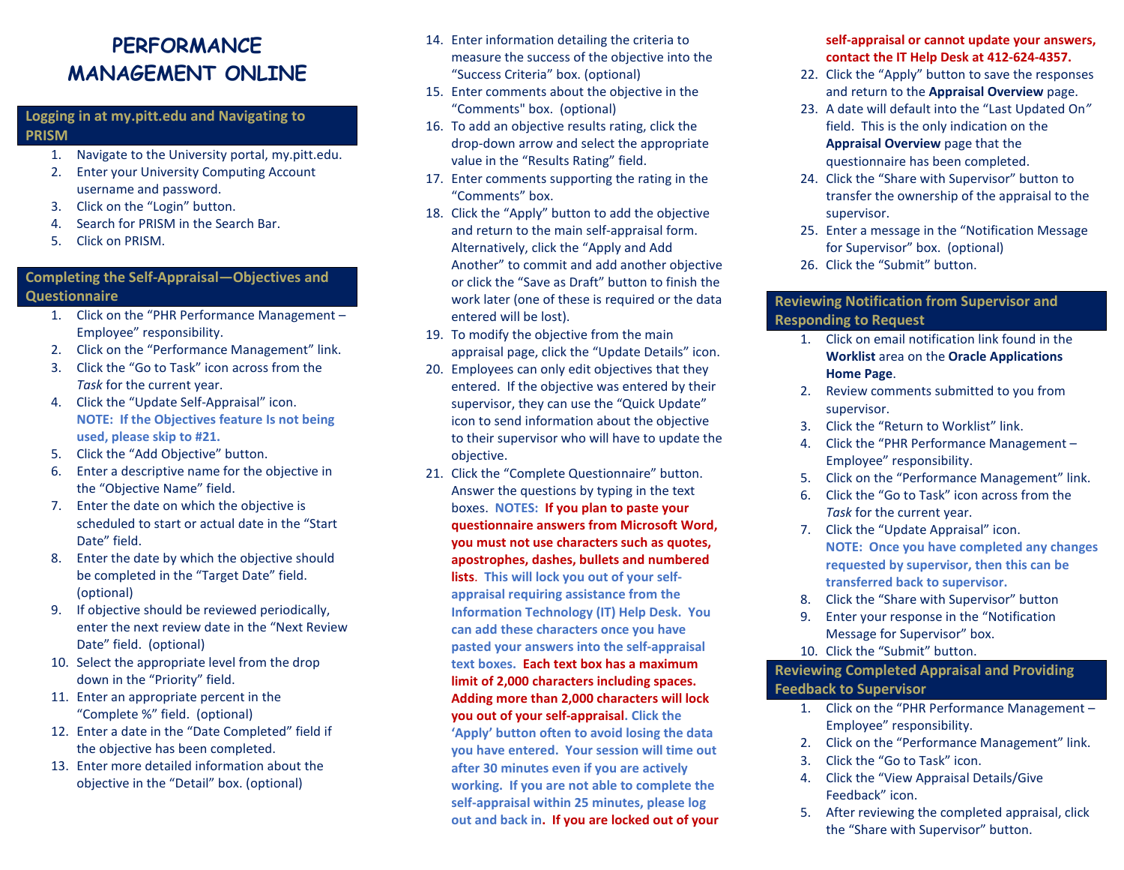# **PERFORMANCE MANAGEMENT ONLINE**

# **Logging in at my.pitt.edu and Navigating to PRISM**

- 1. Navigate to the University portal, my.pitt.edu.
- 2. Enter your University Computing Account username and password.
- 3. Click on the "Login" button.
- 4. Search for PRISM in the Search Bar.
- 5. Click on PRISM.

#### **Completing the Self-Appraisal—Objectives and Questionnaire**

# 1. Click on the "PHR Performance Management – Employee" responsibility.

- 2. Click on the "Performance Management" link.
- 3. Click the "Go to Task" icon across from the *Task* for the current year.
- 4. Click the "Update Self-Appraisal" icon. **NOTE: If the Objectives feature Is not being used, please skip to #21.**
- 5. Click the "Add Objective" button.
- 6. Enter a descriptive name for the objective in the "Objective Name" field.
- 7. Enter the date on which the objective is scheduled to start or actual date in the "Start Date" field.
- 8. Enter the date by which the objective should be completed in the "Target Date" field. (optional)
- 9. If objective should be reviewed periodically, enter the next review date in the "Next Review Date" field. (optional)
- 10. Select the appropriate level from the drop down in the "Priority" field.
- 11. Enter an appropriate percent in the "Complete %" field. (optional)
- 12. Enter a date in the "Date Completed" field if the objective has been completed.
- 13. Enter more detailed information about the objective in the "Detail" box. (optional)
- 14. Enter information detailing the criteria to measure the success of the objective into the "Success Criteria" box. (optional)
- 15. Enter comments about the objective in the "Comments" box. (optional)
- 16. To add an objective results rating, click the drop-down arrow and select the appropriate value in the "Results Rating" field.
- 17. Enter comments supporting the rating in the "Comments" box.
- 18. Click the "Apply" button to add the objective and return to the main self-appraisal form. Alternatively, click the "Apply and Add Another" to commit and add another objective or click the "Save as Draft" button to finish the work later (one of these is required or the data entered will be lost).
- 19. To modify the objective from the main appraisal page, click the "Update Details" icon.
- 20. Employees can only edit objectives that they entered. If the objective was entered by their supervisor, they can use the "Quick Update" icon to send information about the objective to their supervisor who will have to update the objective.
- 21. Click the "Complete Questionnaire" button. Answer the questions by typing in the text boxes. **NOTES: If you plan to paste your questionnaire answers from Microsoft Word, you must not use characters such as quotes, apostrophes, dashes, bullets and numbered lists**. **This will lock you out of your selfappraisal requiring assistance from the Information Technology (IT) Help Desk. You can add these characters once you have pasted your answers into the self-appraisal text boxes. Each text box has a maximum limit of 2,000 characters including spaces. Adding more than 2,000 characters will lock you out of your self-appraisal. Click the 'Apply' button often to avoid losing the data you have entered. Your session will time out after 30 minutes even if you are actively working. If you are not able to complete the self-appraisal within 25 minutes, please log out and back in. If you are locked out of your**

#### **self-appraisal or cannot update your answers, contact the IT Help Desk at 412-624-4357.**

- 22. Click the "Apply" button to save the responses and return to the **Appraisal Overview** page.
- 23. A date will default into the "Last Updated On*"* field. This is the only indication on the **Appraisal Overview** page that the questionnaire has been completed.
- 24. Click the "Share with Supervisor" button to transfer the ownership of the appraisal to the supervisor.
- 25. Enter a message in the "Notification Message for Supervisor" box. (optional)
- 26. Click the "Submit" button.

# **Reviewing Notification from Supervisor and Responding to Request**

- 1. Click on email notification link found in the **Worklist** area on the **Oracle Applications Home Page**.
- 2. Review comments submitted to you from supervisor.
- 3. Click the "Return to Worklist" link.
- 4. Click the "PHR Performance Management Employee" responsibility.
- 5. Click on the "Performance Management" link.
- 6. Click the "Go to Task" icon across from the *Task* for the current year.
- 7. Click the "Update Appraisal" icon. **NOTE: Once you have completed any changes requested by supervisor, then this can be transferred back to supervisor.**
- 8. Click the "Share with Supervisor" button
- 9. Enter your response in the "Notification Message for Supervisor" box.
- 10. Click the "Submit" button.

# **Reviewing Completed Appraisal and Providing Feedback to Supervisor**

- 1. Click on the "PHR Performance Management Employee" responsibility.
- 2. Click on the "Performance Management" link.
- 3. Click the "Go to Task" icon.
- 4. Click the "View Appraisal Details/Give Feedback" icon.
- 5. After reviewing the completed appraisal, click the "Share with Supervisor" button.